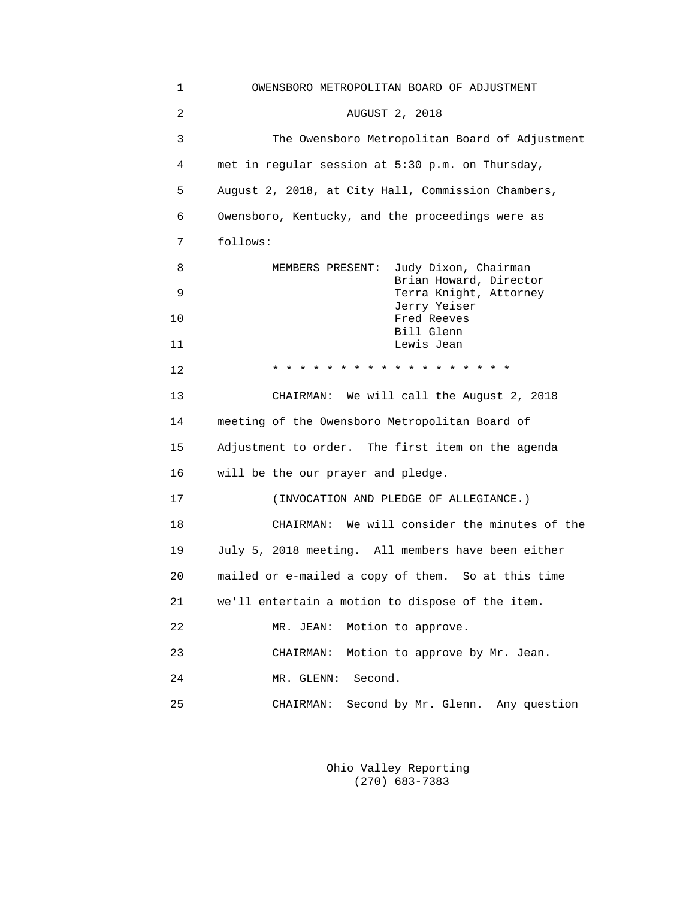| 1              | OWENSBORO METROPOLITAN BOARD OF ADJUSTMENT         |  |  |  |  |
|----------------|----------------------------------------------------|--|--|--|--|
| $\overline{a}$ | AUGUST 2, 2018                                     |  |  |  |  |
| 3              | The Owensboro Metropolitan Board of Adjustment     |  |  |  |  |
| 4              | met in regular session at 5:30 p.m. on Thursday,   |  |  |  |  |
| 5              | August 2, 2018, at City Hall, Commission Chambers, |  |  |  |  |
| 6              | Owensboro, Kentucky, and the proceedings were as   |  |  |  |  |
| 7              | follows:                                           |  |  |  |  |
| 8              | Judy Dixon, Chairman<br>MEMBERS PRESENT:           |  |  |  |  |
| 9              | Brian Howard, Director<br>Terra Knight, Attorney   |  |  |  |  |
| 10             | Jerry Yeiser<br>Fred Reeves                        |  |  |  |  |
| 11             | Bill Glenn<br>Lewis Jean                           |  |  |  |  |
| 12             | * * * * * * * * * * * * * * *                      |  |  |  |  |
| 13             | CHAIRMAN: We will call the August 2, 2018          |  |  |  |  |
| 14             | meeting of the Owensboro Metropolitan Board of     |  |  |  |  |
| 15             | Adjustment to order. The first item on the agenda  |  |  |  |  |
| 16             | will be the our prayer and pledge.                 |  |  |  |  |
| 17             | (INVOCATION AND PLEDGE OF ALLEGIANCE.)             |  |  |  |  |
| 18             | CHAIRMAN: We will consider the minutes of the      |  |  |  |  |
| 19             | July 5, 2018 meeting. All members have been either |  |  |  |  |
| 20             | mailed or e-mailed a copy of them. So at this time |  |  |  |  |
| 21             | we'll entertain a motion to dispose of the item.   |  |  |  |  |
| 22             | Motion to approve.<br>MR. JEAN:                    |  |  |  |  |
| 23             | CHAIRMAN:<br>Motion to approve by Mr. Jean.        |  |  |  |  |
| 24             | Second.<br>MR. GLENN:                              |  |  |  |  |
| 25             | Second by Mr. Glenn. Any question<br>CHAIRMAN:     |  |  |  |  |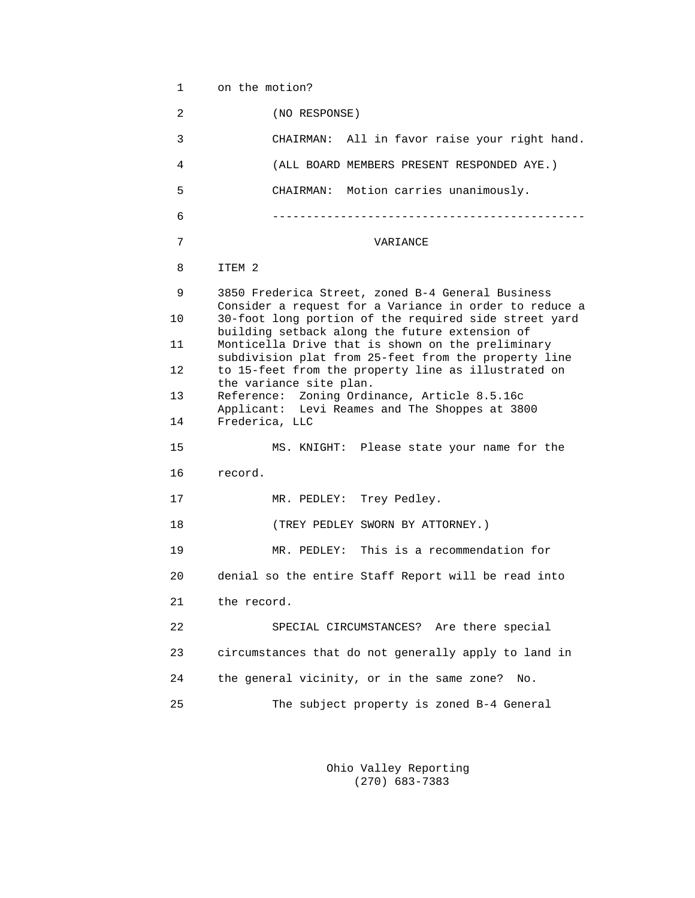1 on the motion?

 2 (NO RESPONSE) 3 CHAIRMAN: All in favor raise your right hand. 4 (ALL BOARD MEMBERS PRESENT RESPONDED AYE.) 5 CHAIRMAN: Motion carries unanimously. 6 ---------------------------------------------- 7 VARIANCE 8 ITEM 2 9 3850 Frederica Street, zoned B-4 General Business Consider a request for a Variance in order to reduce a<br>10 30-foot long portion of the required side street vard 10 30-foot long portion of the required side street yard building setback along the future extension of 11 Monticella Drive that is shown on the preliminary subdivision plat from 25-feet from the property line 12 to 15-feet from the property line as illustrated on the variance site plan.<br>13 Reference: Zoning Ordi Reference: Zoning Ordinance, Article 8.5.16c Applicant: Levi Reames and The Shoppes at 3800<br>14 Frederica, LLC Frederica, LLC 15 MS. KNIGHT: Please state your name for the 16 record. 17 MR. PEDLEY: Trey Pedley. 18 (TREY PEDLEY SWORN BY ATTORNEY.) 19 MR. PEDLEY: This is a recommendation for 20 denial so the entire Staff Report will be read into 21 the record. 22 SPECIAL CIRCUMSTANCES? Are there special 23 circumstances that do not generally apply to land in 24 the general vicinity, or in the same zone? No. 25 The subject property is zoned B-4 General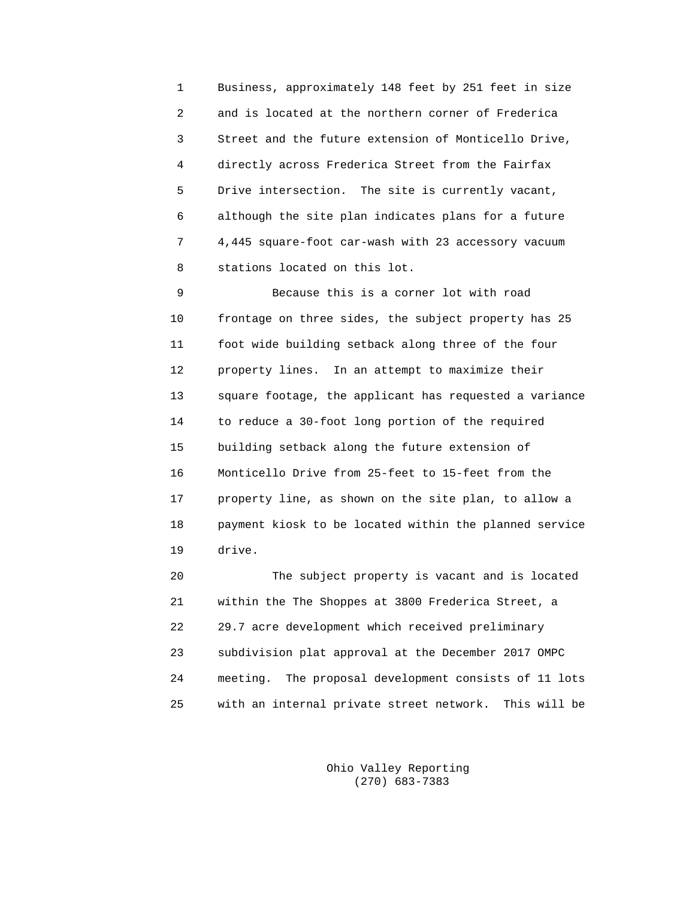1 Business, approximately 148 feet by 251 feet in size 2 and is located at the northern corner of Frederica 3 Street and the future extension of Monticello Drive, 4 directly across Frederica Street from the Fairfax 5 Drive intersection. The site is currently vacant, 6 although the site plan indicates plans for a future 7 4,445 square-foot car-wash with 23 accessory vacuum 8 stations located on this lot.

 9 Because this is a corner lot with road 10 frontage on three sides, the subject property has 25 11 foot wide building setback along three of the four 12 property lines. In an attempt to maximize their 13 square footage, the applicant has requested a variance 14 to reduce a 30-foot long portion of the required 15 building setback along the future extension of 16 Monticello Drive from 25-feet to 15-feet from the 17 property line, as shown on the site plan, to allow a 18 payment kiosk to be located within the planned service 19 drive.

 20 The subject property is vacant and is located 21 within the The Shoppes at 3800 Frederica Street, a 22 29.7 acre development which received preliminary 23 subdivision plat approval at the December 2017 OMPC 24 meeting. The proposal development consists of 11 lots 25 with an internal private street network. This will be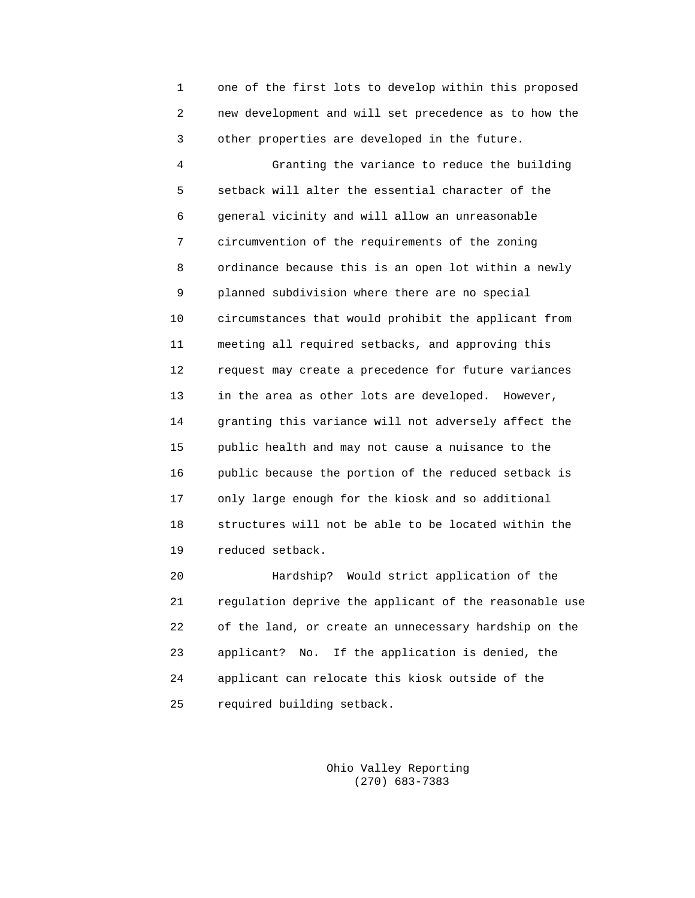1 one of the first lots to develop within this proposed 2 new development and will set precedence as to how the 3 other properties are developed in the future.

 4 Granting the variance to reduce the building 5 setback will alter the essential character of the 6 general vicinity and will allow an unreasonable 7 circumvention of the requirements of the zoning 8 ordinance because this is an open lot within a newly 9 planned subdivision where there are no special 10 circumstances that would prohibit the applicant from 11 meeting all required setbacks, and approving this 12 request may create a precedence for future variances 13 in the area as other lots are developed. However, 14 granting this variance will not adversely affect the 15 public health and may not cause a nuisance to the 16 public because the portion of the reduced setback is 17 only large enough for the kiosk and so additional 18 structures will not be able to be located within the 19 reduced setback.

 20 Hardship? Would strict application of the 21 regulation deprive the applicant of the reasonable use 22 of the land, or create an unnecessary hardship on the 23 applicant? No. If the application is denied, the 24 applicant can relocate this kiosk outside of the 25 required building setback.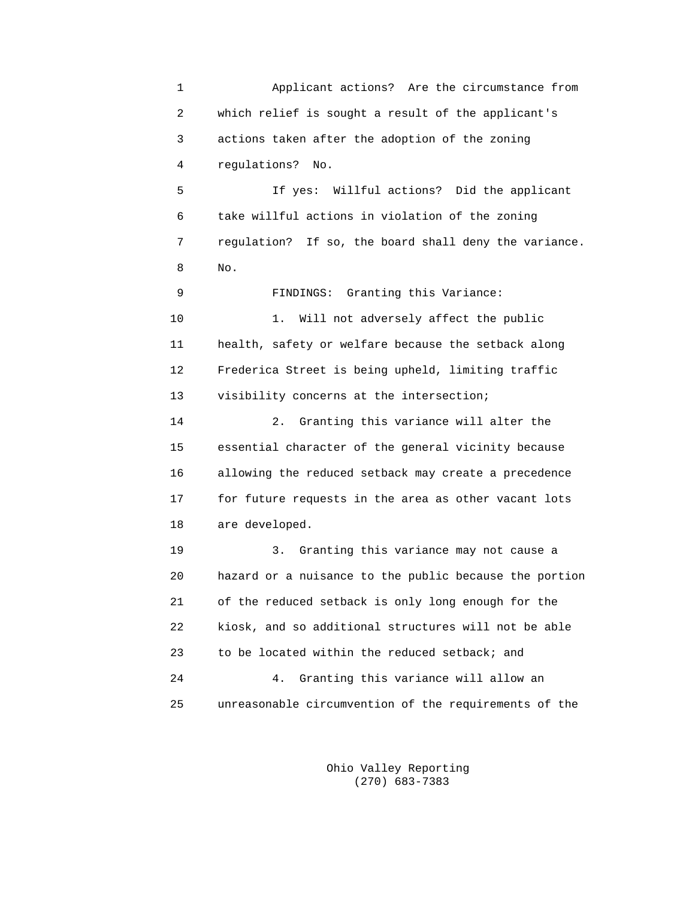1 Applicant actions? Are the circumstance from 2 which relief is sought a result of the applicant's 3 actions taken after the adoption of the zoning 4 regulations? No.

 5 If yes: Willful actions? Did the applicant 6 take willful actions in violation of the zoning 7 regulation? If so, the board shall deny the variance. 8 No.

> 9 FINDINGS: Granting this Variance: 10 1. Will not adversely affect the public 11 health, safety or welfare because the setback along 12 Frederica Street is being upheld, limiting traffic 13 visibility concerns at the intersection;

 14 2. Granting this variance will alter the 15 essential character of the general vicinity because 16 allowing the reduced setback may create a precedence 17 for future requests in the area as other vacant lots 18 are developed.

 19 3. Granting this variance may not cause a 20 hazard or a nuisance to the public because the portion 21 of the reduced setback is only long enough for the 22 kiosk, and so additional structures will not be able 23 to be located within the reduced setback; and 24 4. Granting this variance will allow an 25 unreasonable circumvention of the requirements of the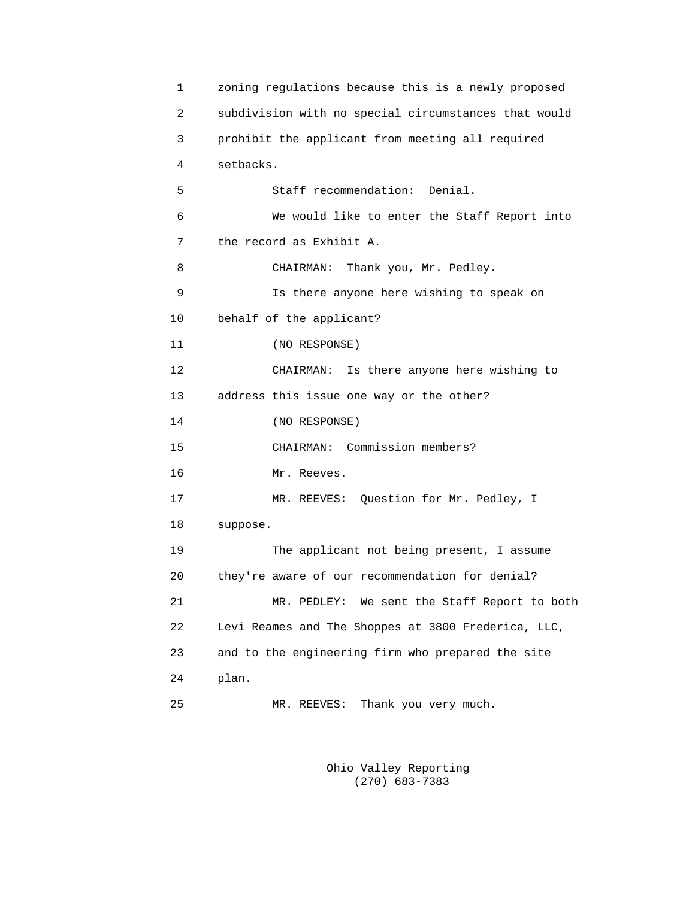```
 1 zoning regulations because this is a newly proposed
 2 subdivision with no special circumstances that would
 3 prohibit the applicant from meeting all required
 4 setbacks.
 5 Staff recommendation: Denial.
 6 We would like to enter the Staff Report into
 7 the record as Exhibit A.
 8 CHAIRMAN: Thank you, Mr. Pedley.
 9 Is there anyone here wishing to speak on
 10 behalf of the applicant?
 11 (NO RESPONSE)
 12 CHAIRMAN: Is there anyone here wishing to
 13 address this issue one way or the other?
 14 (NO RESPONSE)
 15 CHAIRMAN: Commission members?
 16 Mr. Reeves.
 17 MR. REEVES: Question for Mr. Pedley, I
 18 suppose.
 19 The applicant not being present, I assume
 20 they're aware of our recommendation for denial?
 21 MR. PEDLEY: We sent the Staff Report to both
 22 Levi Reames and The Shoppes at 3800 Frederica, LLC,
 23 and to the engineering firm who prepared the site
 24 plan.
 25 MR. REEVES: Thank you very much.
```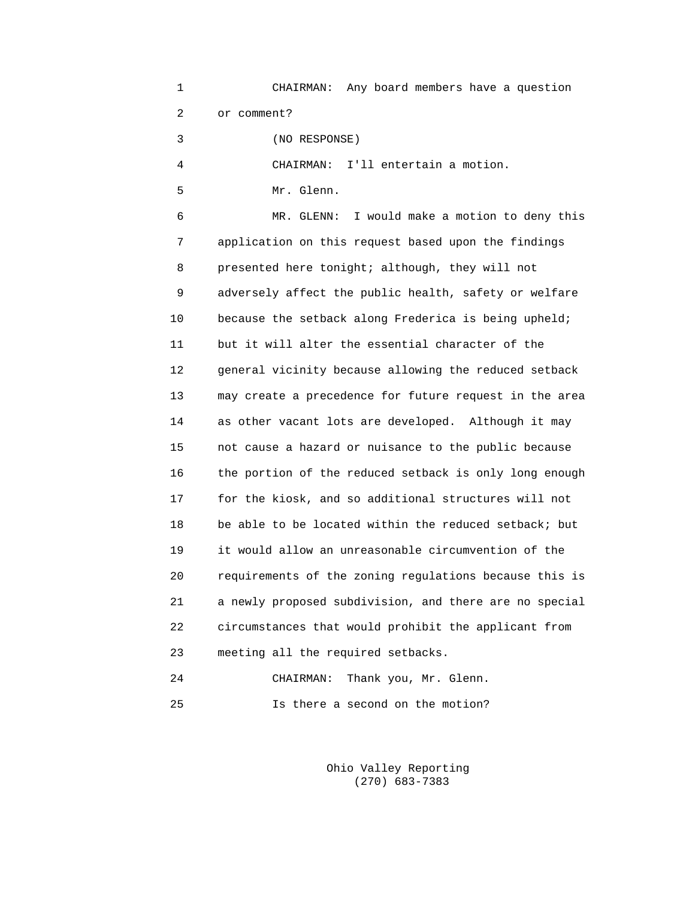1 CHAIRMAN: Any board members have a question 2 or comment? 3 (NO RESPONSE)

4 CHAIRMAN: I'll entertain a motion.

5 Mr. Glenn.

 6 MR. GLENN: I would make a motion to deny this 7 application on this request based upon the findings 8 presented here tonight; although, they will not 9 adversely affect the public health, safety or welfare 10 because the setback along Frederica is being upheld; 11 but it will alter the essential character of the 12 general vicinity because allowing the reduced setback 13 may create a precedence for future request in the area 14 as other vacant lots are developed. Although it may 15 not cause a hazard or nuisance to the public because 16 the portion of the reduced setback is only long enough 17 for the kiosk, and so additional structures will not 18 be able to be located within the reduced setback; but 19 it would allow an unreasonable circumvention of the 20 requirements of the zoning regulations because this is 21 a newly proposed subdivision, and there are no special 22 circumstances that would prohibit the applicant from 23 meeting all the required setbacks.

|    |  | CHAIRMAN: Thank you, Mr. Glenn.  |
|----|--|----------------------------------|
| 25 |  | Is there a second on the motion? |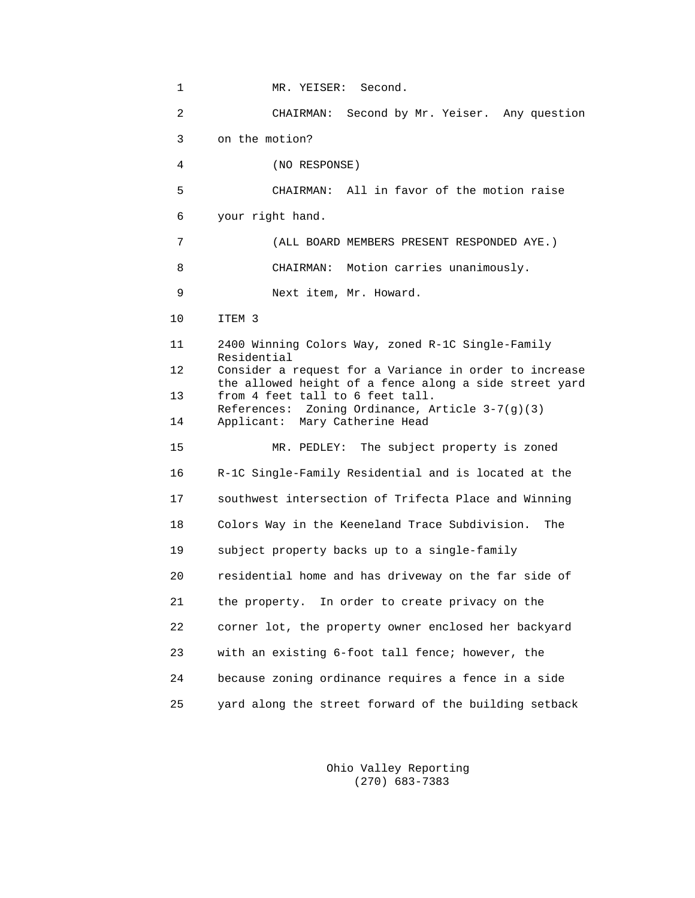| 1  | MR. YEISER: Second.                                                                                              |
|----|------------------------------------------------------------------------------------------------------------------|
| 2  | Second by Mr. Yeiser. Any question<br>CHAIRMAN:                                                                  |
| 3  | on the motion?                                                                                                   |
| 4  | (NO RESPONSE)                                                                                                    |
| 5  | CHAIRMAN: All in favor of the motion raise                                                                       |
| 6  | your right hand.                                                                                                 |
| 7  | (ALL BOARD MEMBERS PRESENT RESPONDED AYE.)                                                                       |
| 8  | CHAIRMAN: Motion carries unanimously.                                                                            |
| 9  | Next item, Mr. Howard.                                                                                           |
| 10 | ITEM <sub>3</sub>                                                                                                |
| 11 | 2400 Winning Colors Way, zoned R-1C Single-Family<br>Residential                                                 |
| 12 | Consider a request for a Variance in order to increase<br>the allowed height of a fence along a side street yard |
| 13 | from 4 feet tall to 6 feet tall.<br>References: Zoning Ordinance, Article 3-7(g)(3)                              |
| 14 | Applicant: Mary Catherine Head                                                                                   |
| 15 | MR. PEDLEY: The subject property is zoned                                                                        |
| 16 | R-1C Single-Family Residential and is located at the                                                             |
| 17 | southwest intersection of Trifecta Place and Winning                                                             |
| 18 | Colors Way in the Keeneland Trace Subdivision.<br>The                                                            |
| 19 | subject property backs up to a single-family                                                                     |
| 20 | residential home and has driveway on the far side of                                                             |
| 21 | the property. In order to create privacy on the                                                                  |
| 22 | corner lot, the property owner enclosed her backyard                                                             |
| 23 | with an existing 6-foot tall fence; however, the                                                                 |
| 24 | because zoning ordinance requires a fence in a side                                                              |
| 25 | yard along the street forward of the building setback                                                            |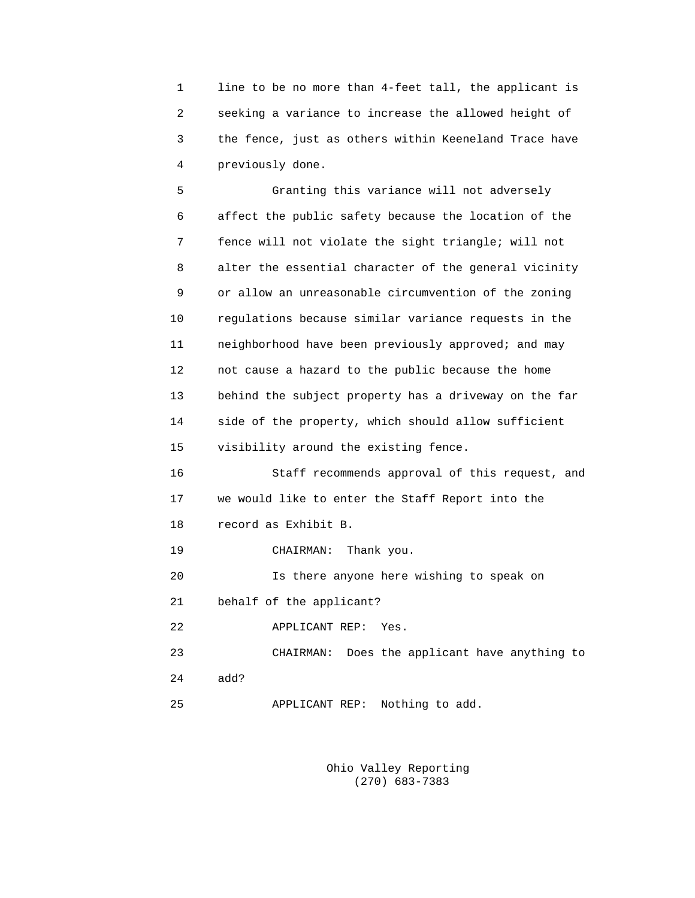1 line to be no more than 4-feet tall, the applicant is 2 seeking a variance to increase the allowed height of 3 the fence, just as others within Keeneland Trace have 4 previously done.

 5 Granting this variance will not adversely 6 affect the public safety because the location of the 7 fence will not violate the sight triangle; will not 8 alter the essential character of the general vicinity 9 or allow an unreasonable circumvention of the zoning 10 regulations because similar variance requests in the 11 neighborhood have been previously approved; and may 12 not cause a hazard to the public because the home 13 behind the subject property has a driveway on the far 14 side of the property, which should allow sufficient 15 visibility around the existing fence. 16 Staff recommends approval of this request, and 17 we would like to enter the Staff Report into the 18 record as Exhibit B. 19 CHAIRMAN: Thank you. 20 Is there anyone here wishing to speak on 21 behalf of the applicant? 22 APPLICANT REP: Yes. 23 CHAIRMAN: Does the applicant have anything to

- 24 add?
- 25 APPLICANT REP: Nothing to add.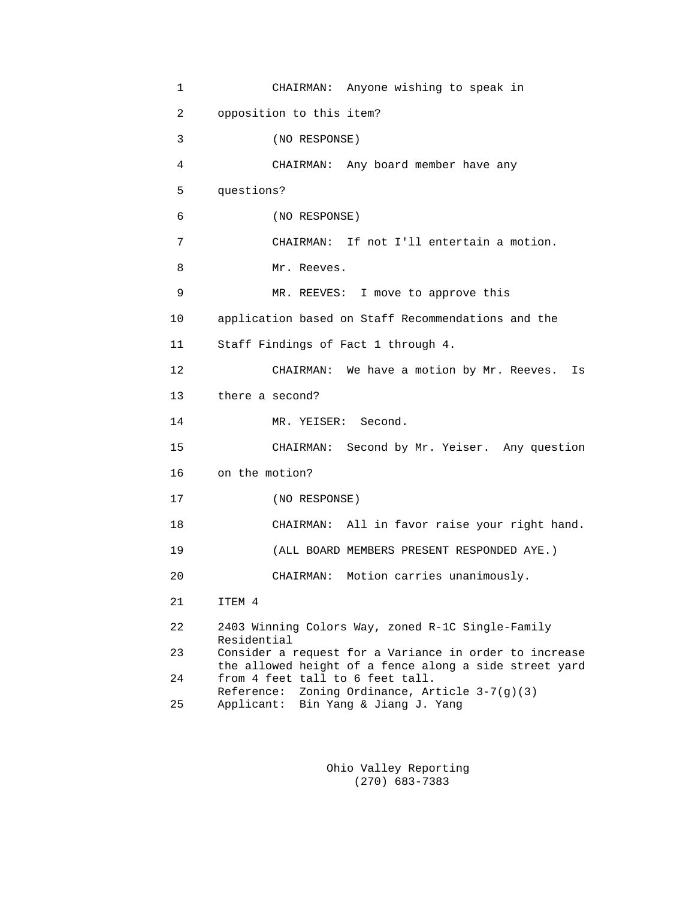| $\mathbf{1}$ | CHAIRMAN: Anyone wishing to speak in                                                                             |
|--------------|------------------------------------------------------------------------------------------------------------------|
| 2            | opposition to this item?                                                                                         |
| 3            | (NO RESPONSE)                                                                                                    |
| 4            | CHAIRMAN: Any board member have any                                                                              |
| 5            | questions?                                                                                                       |
| 6            | (NO RESPONSE)                                                                                                    |
| 7            | CHAIRMAN: If not I'll entertain a motion.                                                                        |
| 8            | Mr. Reeves.                                                                                                      |
| 9            | MR. REEVES: I move to approve this                                                                               |
| 10           | application based on Staff Recommendations and the                                                               |
| 11           | Staff Findings of Fact 1 through 4.                                                                              |
| 12           | CHAIRMAN: We have a motion by Mr. Reeves.<br>Is                                                                  |
| 13           | there a second?                                                                                                  |
| 14           | MR. YEISER: Second.                                                                                              |
| 15           | CHAIRMAN: Second by Mr. Yeiser. Any question                                                                     |
| 16           | on the motion?                                                                                                   |
| 17           | (NO RESPONSE)                                                                                                    |
| 18           | CHAIRMAN: All in favor raise your right hand.                                                                    |
| 19           | (ALL BOARD MEMBERS PRESENT RESPONDED AYE.)                                                                       |
| 20           | CHAIRMAN: Motion carries unanimously.                                                                            |
| 21           | ITEM 4                                                                                                           |
| 22           | 2403 Winning Colors Way, zoned R-1C Single-Family<br>Residential                                                 |
| 23           | Consider a request for a Variance in order to increase<br>the allowed height of a fence along a side street yard |
| 24           | from 4 feet tall to 6 feet tall.<br>Zoning Ordinance, Article 3-7(g)(3)<br>Reference:                            |
| 25           | Applicant:<br>Bin Yang & Jiang J. Yang                                                                           |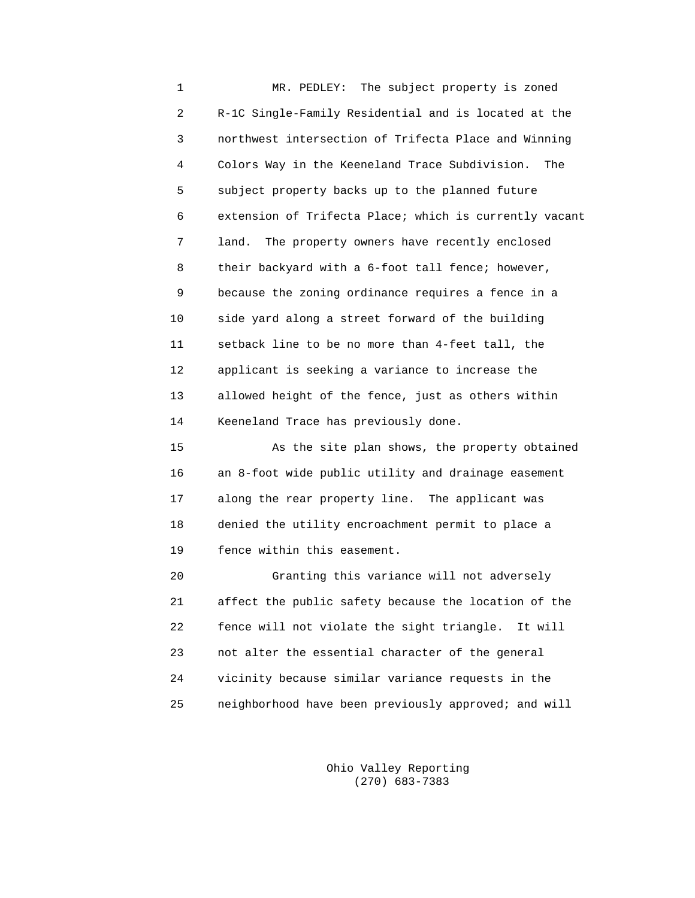1 MR. PEDLEY: The subject property is zoned 2 R-1C Single-Family Residential and is located at the 3 northwest intersection of Trifecta Place and Winning 4 Colors Way in the Keeneland Trace Subdivision. The 5 subject property backs up to the planned future 6 extension of Trifecta Place; which is currently vacant 7 land. The property owners have recently enclosed 8 their backyard with a 6-foot tall fence; however, 9 because the zoning ordinance requires a fence in a 10 side yard along a street forward of the building 11 setback line to be no more than 4-feet tall, the 12 applicant is seeking a variance to increase the 13 allowed height of the fence, just as others within 14 Keeneland Trace has previously done.

 15 As the site plan shows, the property obtained 16 an 8-foot wide public utility and drainage easement 17 along the rear property line. The applicant was 18 denied the utility encroachment permit to place a 19 fence within this easement.

 20 Granting this variance will not adversely 21 affect the public safety because the location of the 22 fence will not violate the sight triangle. It will 23 not alter the essential character of the general 24 vicinity because similar variance requests in the 25 neighborhood have been previously approved; and will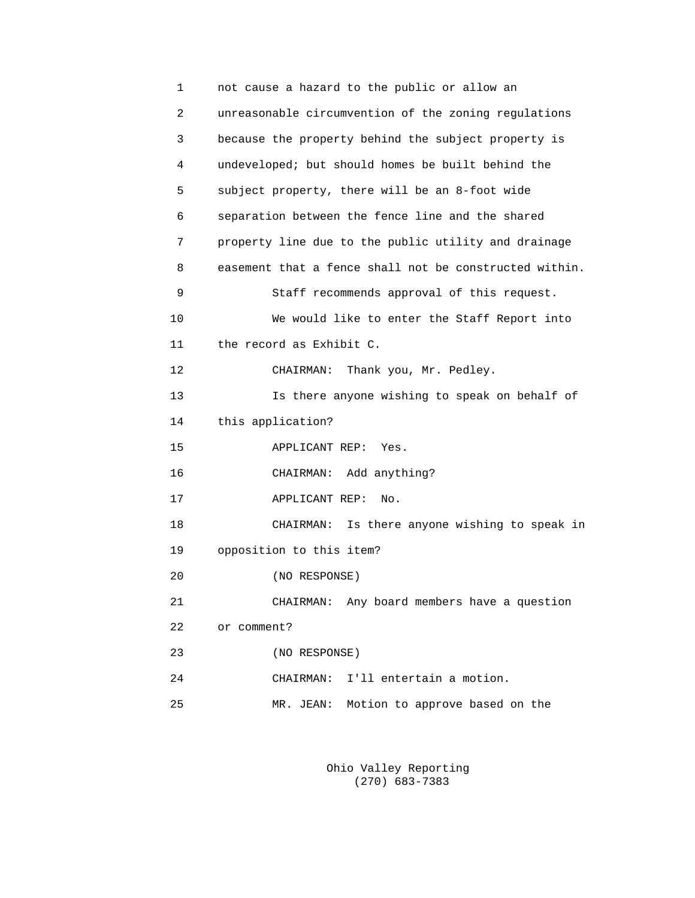| 1  | not cause a hazard to the public or allow an           |
|----|--------------------------------------------------------|
| 2  | unreasonable circumvention of the zoning regulations   |
| 3  | because the property behind the subject property is    |
| 4  | undeveloped; but should homes be built behind the      |
| 5  | subject property, there will be an 8-foot wide         |
| 6  | separation between the fence line and the shared       |
| 7  | property line due to the public utility and drainage   |
| 8  | easement that a fence shall not be constructed within. |
| 9  | Staff recommends approval of this request.             |
| 10 | We would like to enter the Staff Report into           |
| 11 | the record as Exhibit C.                               |
| 12 | Thank you, Mr. Pedley.<br>CHAIRMAN:                    |
| 13 | Is there anyone wishing to speak on behalf of          |
| 14 | this application?                                      |
| 15 | APPLICANT REP:<br>Yes.                                 |
| 16 | Add anything?<br>CHAIRMAN:                             |
| 17 | APPLICANT REP:<br>No.                                  |
| 18 | Is there anyone wishing to speak in<br>CHAIRMAN:       |
| 19 | opposition to this item?                               |
| 20 | (NO RESPONSE)                                          |
| 21 | CHAIRMAN: Any board members have a question            |
| 22 | or comment?                                            |
| 23 | (NO RESPONSE)                                          |
| 24 | I'll entertain a motion.<br>CHAIRMAN:                  |
| 25 | MR. JEAN:<br>Motion to approve based on the            |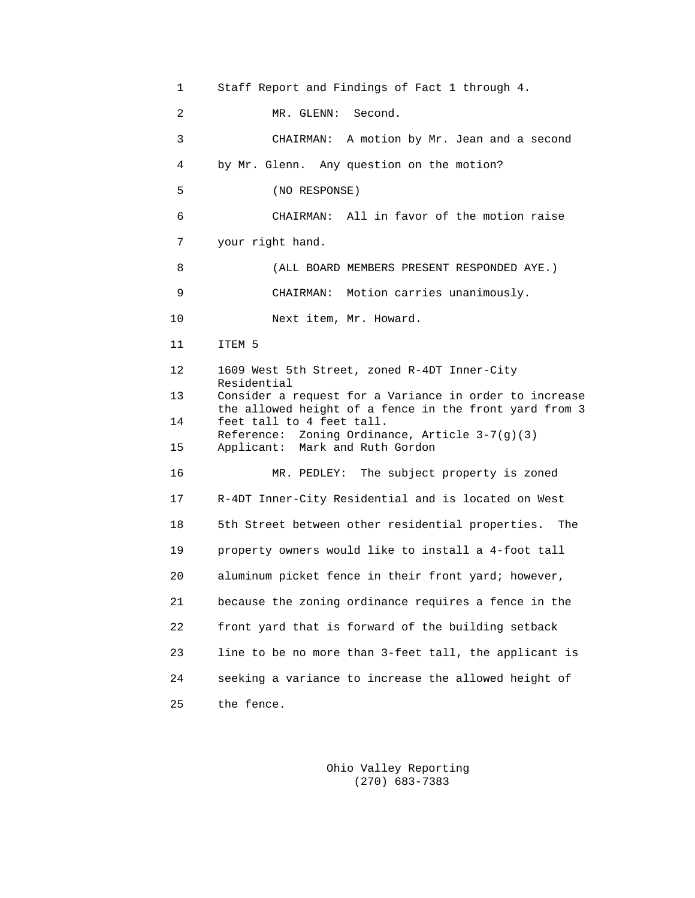1 Staff Report and Findings of Fact 1 through 4. 2 MR. GLENN: Second. 3 CHAIRMAN: A motion by Mr. Jean and a second 4 by Mr. Glenn. Any question on the motion? 5 (NO RESPONSE) 6 CHAIRMAN: All in favor of the motion raise 7 your right hand. 8 (ALL BOARD MEMBERS PRESENT RESPONDED AYE.) 9 CHAIRMAN: Motion carries unanimously. 10 Next item, Mr. Howard. 11 ITEM 5 12 1609 West 5th Street, zoned R-4DT Inner-City Residential<br>13 Consider a 1 Consider a request for a Variance in order to increase the allowed height of a fence in the front yard from 3<br>14 feet tall to 4 feet tall. feet tall to 4 feet tall. Reference: Zoning Ordinance, Article 3-7(g)(3)<br>15 Applicant: Mark and Ruth Gordon Applicant: Mark and Ruth Gordon 16 MR. PEDLEY: The subject property is zoned 17 R-4DT Inner-City Residential and is located on West 18 5th Street between other residential properties. The 19 property owners would like to install a 4-foot tall 20 aluminum picket fence in their front yard; however, 21 because the zoning ordinance requires a fence in the 22 front yard that is forward of the building setback 23 line to be no more than 3-feet tall, the applicant is 24 seeking a variance to increase the allowed height of 25 the fence.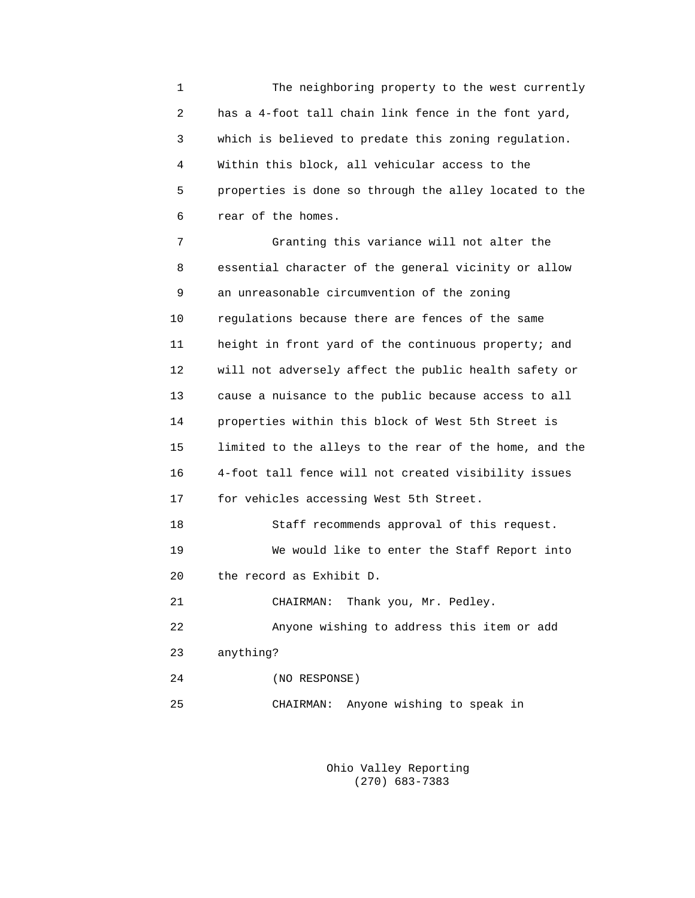1 The neighboring property to the west currently 2 has a 4-foot tall chain link fence in the font yard, 3 which is believed to predate this zoning regulation. 4 Within this block, all vehicular access to the 5 properties is done so through the alley located to the 6 rear of the homes.

 7 Granting this variance will not alter the 8 essential character of the general vicinity or allow 9 an unreasonable circumvention of the zoning 10 regulations because there are fences of the same 11 height in front yard of the continuous property; and 12 will not adversely affect the public health safety or 13 cause a nuisance to the public because access to all 14 properties within this block of West 5th Street is 15 limited to the alleys to the rear of the home, and the 16 4-foot tall fence will not created visibility issues 17 for vehicles accessing West 5th Street. 18 Staff recommends approval of this request. 19 We would like to enter the Staff Report into 20 the record as Exhibit D. 21 CHAIRMAN: Thank you, Mr. Pedley. 22 Anyone wishing to address this item or add 23 anything? 24 (NO RESPONSE)

25 CHAIRMAN: Anyone wishing to speak in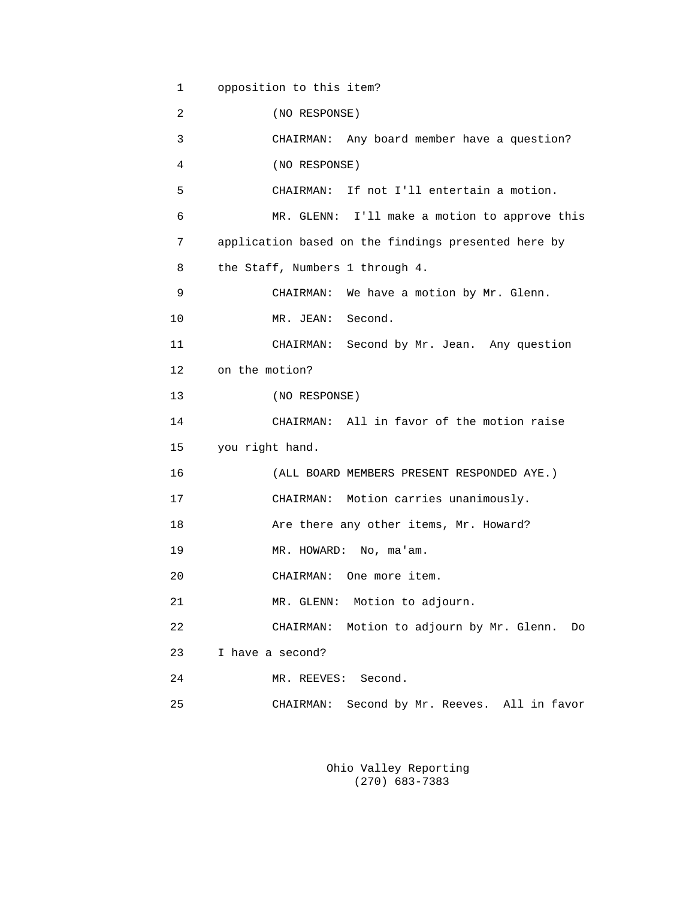```
 1 opposition to this item?
 2 (NO RESPONSE)
 3 CHAIRMAN: Any board member have a question?
 4 (NO RESPONSE)
 5 CHAIRMAN: If not I'll entertain a motion.
 6 MR. GLENN: I'll make a motion to approve this
 7 application based on the findings presented here by
 8 the Staff, Numbers 1 through 4.
 9 CHAIRMAN: We have a motion by Mr. Glenn.
10 MR. JEAN: Second.
 11 CHAIRMAN: Second by Mr. Jean. Any question
 12 on the motion?
 13 (NO RESPONSE)
 14 CHAIRMAN: All in favor of the motion raise
 15 you right hand.
 16 (ALL BOARD MEMBERS PRESENT RESPONDED AYE.)
 17 CHAIRMAN: Motion carries unanimously.
 18 Are there any other items, Mr. Howard?
19 MR. HOWARD: No, ma'am.
 20 CHAIRMAN: One more item.
 21 MR. GLENN: Motion to adjourn.
 22 CHAIRMAN: Motion to adjourn by Mr. Glenn. Do
 23 I have a second?
 24 MR. REEVES: Second.
 25 CHAIRMAN: Second by Mr. Reeves. All in favor
```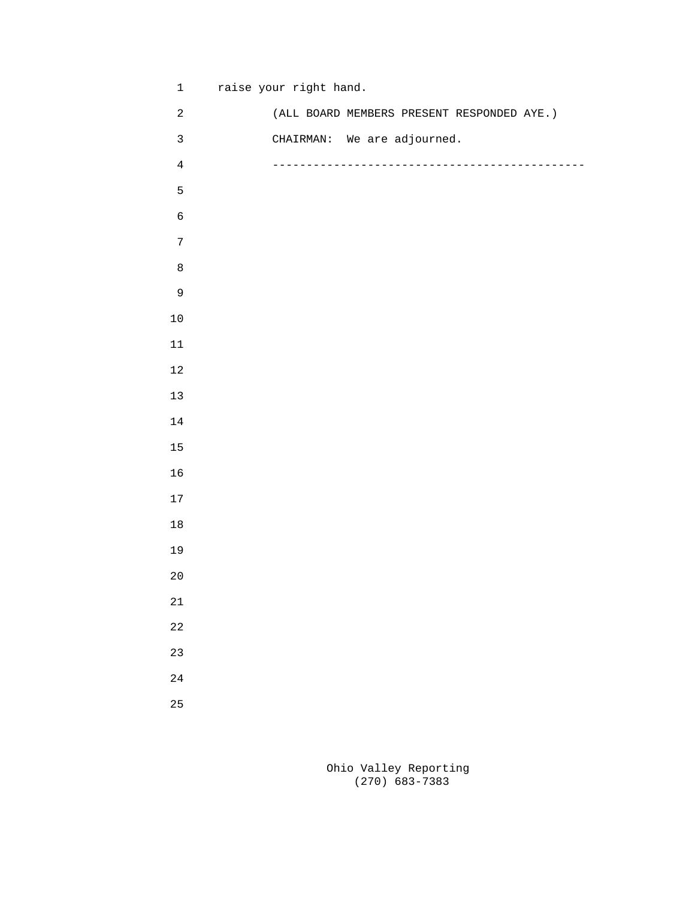1 raise your right hand.

| $\sqrt{2}$   | (ALL BOARD MEMBERS PRESENT RESPONDED AYE.) |  |        |
|--------------|--------------------------------------------|--|--------|
| $\mathbf{3}$ | CHAIRMAN: We are adjourned.                |  |        |
| $\,4$        |                                            |  | ------ |
| $\mathsf S$  |                                            |  |        |
| $\epsilon$   |                                            |  |        |
| $\sqrt{ }$   |                                            |  |        |
| $\,8\,$      |                                            |  |        |
| $\mathsf 9$  |                                            |  |        |
| $10$         |                                            |  |        |
| $11\,$       |                                            |  |        |
| $1\,2$       |                                            |  |        |
| $13$         |                                            |  |        |
| $14\,$       |                                            |  |        |
| $15\,$       |                                            |  |        |
| $16$         |                                            |  |        |
| $17\,$       |                                            |  |        |
| $18\,$       |                                            |  |        |
| 19           |                                            |  |        |
| $20\,$       |                                            |  |        |
| $2\sqrt{1}$  |                                            |  |        |
| $2\sqrt{2}$  |                                            |  |        |
| 23           |                                            |  |        |
| $2\sqrt{4}$  |                                            |  |        |
| 25           |                                            |  |        |